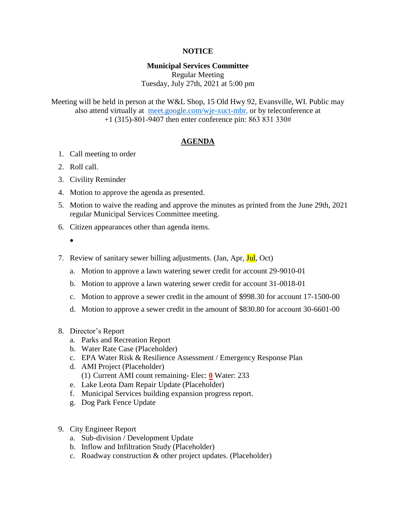# **NOTICE**

# **Municipal Services Committee**

Regular Meeting Tuesday, July 27th, 2021 at 5:00 pm

Meeting will be held in person at the W&L Shop, 15 Old Hwy 92, Evansville, WI. Public may also attend virtually at [meet.google.com/wje-xuct-mbr,](meet.google.com/wje-xuct-mbr) or by teleconference at +1 (315)-801-9407 then enter conference pin: 863 831 330#

# **AGENDA**

- 1. Call meeting to order
- 2. Roll call.
- 3. Civility Reminder
- 4. Motion to approve the agenda as presented.
- 5. Motion to waive the reading and approve the minutes as printed from the June 29th, 2021 regular Municipal Services Committee meeting.
- 6. Citizen appearances other than agenda items.
	- $\bullet$
- 7. Review of sanitary sewer billing adjustments. (Jan, Apr, Jul, Oct)
	- a. Motion to approve a lawn watering sewer credit for account 29-9010-01
	- b. Motion to approve a lawn watering sewer credit for account 31-0018-01
	- c. Motion to approve a sewer credit in the amount of \$998.30 for account 17-1500-00
	- d. Motion to approve a sewer credit in the amount of \$830.80 for account 30-6601-00
- 8. Director's Report
	- a. Parks and Recreation Report
	- b. Water Rate Case (Placeholder)
	- c. EPA Water Risk & Resilience Assessment / Emergency Response Plan
	- d. AMI Project (Placeholder) (1) Current AMI count remaining- Elec: **0** Water: 233
	- e. Lake Leota Dam Repair Update (Placeholder)
	- f. Municipal Services building expansion progress report.
	- g. Dog Park Fence Update
- 9. City Engineer Report
	- a. Sub-division / Development Update
	- b. Inflow and Infiltration Study (Placeholder)
	- c. Roadway construction & other project updates. (Placeholder)